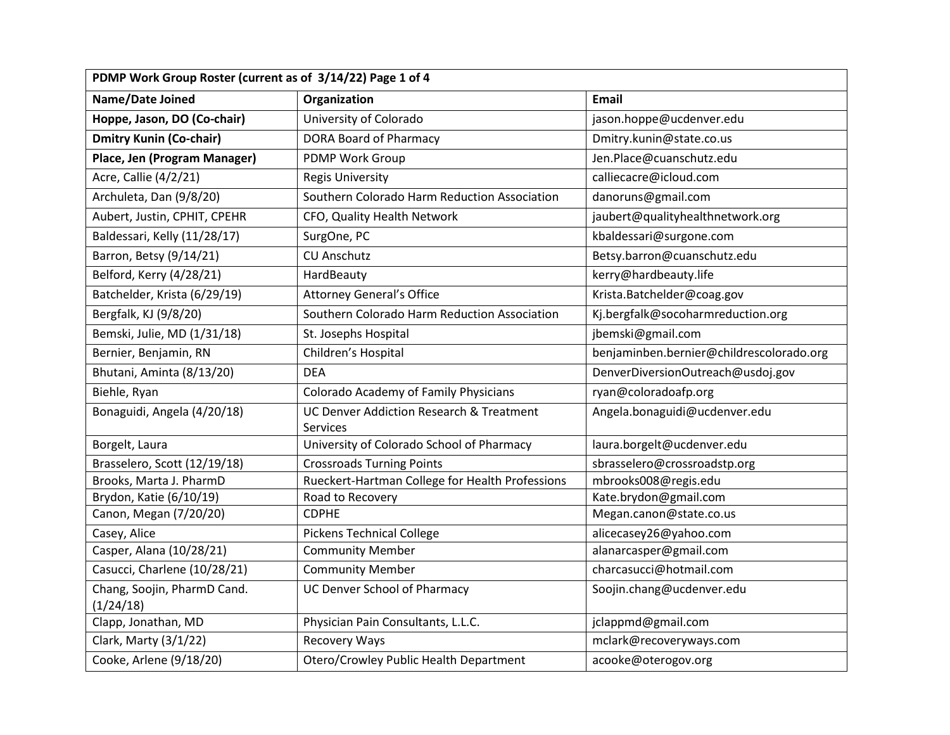| PDMP Work Group Roster (current as of 3/14/22) Page 1 of 4 |                                                     |                                          |  |  |
|------------------------------------------------------------|-----------------------------------------------------|------------------------------------------|--|--|
| Name/Date Joined                                           | Organization                                        | <b>Email</b>                             |  |  |
| Hoppe, Jason, DO (Co-chair)                                | University of Colorado                              | jason.hoppe@ucdenver.edu                 |  |  |
| <b>Dmitry Kunin (Co-chair)</b>                             | DORA Board of Pharmacy                              | Dmitry.kunin@state.co.us                 |  |  |
| Place, Jen (Program Manager)                               | PDMP Work Group                                     | Jen.Place@cuanschutz.edu                 |  |  |
| Acre, Callie (4/2/21)                                      | <b>Regis University</b>                             | calliecacre@icloud.com                   |  |  |
| Archuleta, Dan (9/8/20)                                    | Southern Colorado Harm Reduction Association        | danoruns@gmail.com                       |  |  |
| Aubert, Justin, CPHIT, CPEHR                               | CFO, Quality Health Network                         | jaubert@qualityhealthnetwork.org         |  |  |
| Baldessari, Kelly (11/28/17)                               | SurgOne, PC                                         | kbaldessari@surgone.com                  |  |  |
| Barron, Betsy (9/14/21)                                    | <b>CU Anschutz</b>                                  | Betsy.barron@cuanschutz.edu              |  |  |
| Belford, Kerry (4/28/21)                                   | HardBeauty                                          | kerry@hardbeauty.life                    |  |  |
| Batchelder, Krista (6/29/19)                               | <b>Attorney General's Office</b>                    | Krista.Batchelder@coag.gov               |  |  |
| Bergfalk, KJ (9/8/20)                                      | Southern Colorado Harm Reduction Association        | Kj.bergfalk@socoharmreduction.org        |  |  |
| Bemski, Julie, MD (1/31/18)                                | St. Josephs Hospital                                | jbemski@gmail.com                        |  |  |
| Bernier, Benjamin, RN                                      | Children's Hospital                                 | benjaminben.bernier@childrescolorado.org |  |  |
| Bhutani, Aminta (8/13/20)                                  | <b>DEA</b>                                          | DenverDiversionOutreach@usdoj.gov        |  |  |
| Biehle, Ryan                                               | Colorado Academy of Family Physicians               | ryan@coloradoafp.org                     |  |  |
| Bonaguidi, Angela (4/20/18)                                | <b>UC Denver Addiction Research &amp; Treatment</b> | Angela.bonaguidi@ucdenver.edu            |  |  |
|                                                            | Services                                            |                                          |  |  |
| Borgelt, Laura                                             | University of Colorado School of Pharmacy           | laura.borgelt@ucdenver.edu               |  |  |
| Brasselero, Scott (12/19/18)                               | <b>Crossroads Turning Points</b>                    | sbrasselero@crossroadstp.org             |  |  |
| Brooks, Marta J. PharmD                                    | Rueckert-Hartman College for Health Professions     | mbrooks008@regis.edu                     |  |  |
| Brydon, Katie (6/10/19)                                    | Road to Recovery                                    | Kate.brydon@gmail.com                    |  |  |
| Canon, Megan (7/20/20)                                     | <b>CDPHE</b>                                        | Megan.canon@state.co.us                  |  |  |
| Casey, Alice                                               | <b>Pickens Technical College</b>                    | alicecasey26@yahoo.com                   |  |  |
| Casper, Alana (10/28/21)                                   | <b>Community Member</b>                             | alanarcasper@gmail.com                   |  |  |
| Casucci, Charlene (10/28/21)                               | <b>Community Member</b>                             | charcasucci@hotmail.com                  |  |  |
| Chang, Soojin, PharmD Cand.                                | UC Denver School of Pharmacy                        | Soojin.chang@ucdenver.edu                |  |  |
| (1/24/18)                                                  |                                                     |                                          |  |  |
| Clapp, Jonathan, MD                                        | Physician Pain Consultants, L.L.C.                  | jclappmd@gmail.com                       |  |  |
| Clark, Marty (3/1/22)                                      | <b>Recovery Ways</b>                                | mclark@recoveryways.com                  |  |  |
| Cooke, Arlene (9/18/20)                                    | Otero/Crowley Public Health Department              | acooke@oterogov.org                      |  |  |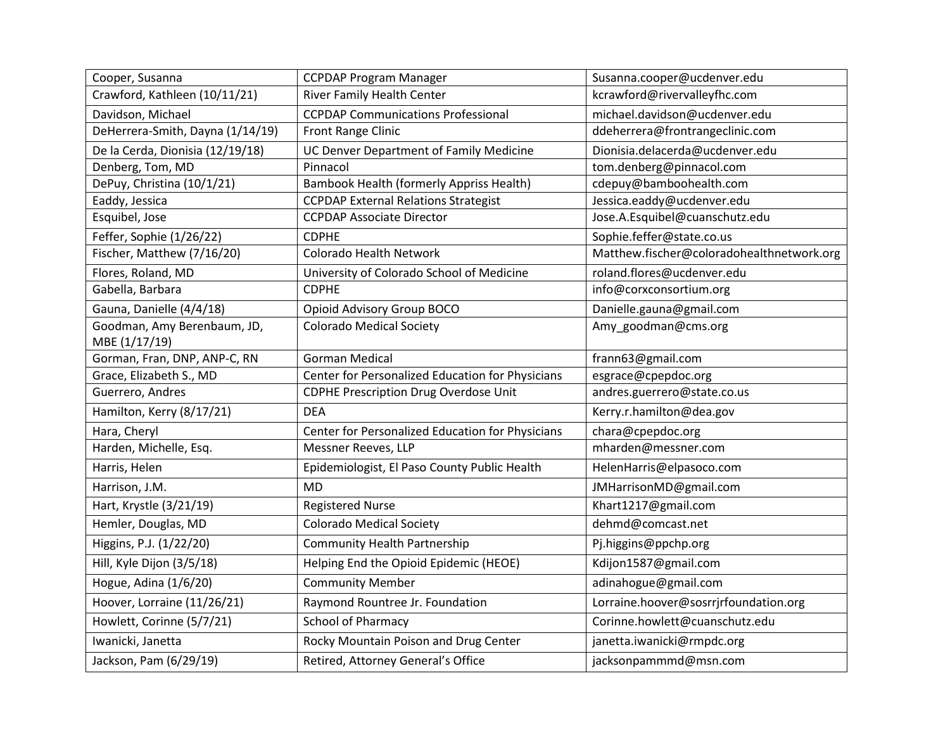| Cooper, Susanna                              | <b>CCPDAP Program Manager</b>                    | Susanna.cooper@ucdenver.edu               |
|----------------------------------------------|--------------------------------------------------|-------------------------------------------|
| Crawford, Kathleen (10/11/21)                | River Family Health Center                       | kcrawford@rivervalleyfhc.com              |
| Davidson, Michael                            | <b>CCPDAP Communications Professional</b>        | michael.davidson@ucdenver.edu             |
| DeHerrera-Smith, Dayna (1/14/19)             | Front Range Clinic                               | ddeherrera@frontrangeclinic.com           |
| De la Cerda, Dionisia (12/19/18)             | UC Denver Department of Family Medicine          | Dionisia.delacerda@ucdenver.edu           |
| Denberg, Tom, MD                             | Pinnacol                                         | tom.denberg@pinnacol.com                  |
| DePuy, Christina (10/1/21)                   | <b>Bambook Health (formerly Appriss Health)</b>  | cdepuy@bamboohealth.com                   |
| Eaddy, Jessica                               | <b>CCPDAP External Relations Strategist</b>      | Jessica.eaddy@ucdenver.edu                |
| Esquibel, Jose                               | <b>CCPDAP Associate Director</b>                 | Jose.A.Esquibel@cuanschutz.edu            |
| Feffer, Sophie (1/26/22)                     | <b>CDPHE</b>                                     | Sophie.feffer@state.co.us                 |
| Fischer, Matthew (7/16/20)                   | Colorado Health Network                          | Matthew.fischer@coloradohealthnetwork.org |
| Flores, Roland, MD                           | University of Colorado School of Medicine        | roland.flores@ucdenver.edu                |
| Gabella, Barbara                             | <b>CDPHE</b>                                     | info@corxconsortium.org                   |
| Gauna, Danielle (4/4/18)                     | Opioid Advisory Group BOCO                       | Danielle.gauna@gmail.com                  |
| Goodman, Amy Berenbaum, JD,<br>MBE (1/17/19) | <b>Colorado Medical Society</b>                  | Amy_goodman@cms.org                       |
| Gorman, Fran, DNP, ANP-C, RN                 | <b>Gorman Medical</b>                            | frann63@gmail.com                         |
| Grace, Elizabeth S., MD                      | Center for Personalized Education for Physicians | esgrace@cpepdoc.org                       |
| Guerrero, Andres                             | <b>CDPHE Prescription Drug Overdose Unit</b>     | andres.guerrero@state.co.us               |
| Hamilton, Kerry (8/17/21)                    | <b>DEA</b>                                       | Kerry.r.hamilton@dea.gov                  |
| Hara, Cheryl                                 | Center for Personalized Education for Physicians | chara@cpepdoc.org                         |
| Harden, Michelle, Esq.                       | Messner Reeves, LLP                              | mharden@messner.com                       |
| Harris, Helen                                | Epidemiologist, El Paso County Public Health     | HelenHarris@elpasoco.com                  |
| Harrison, J.M.                               | <b>MD</b>                                        | JMHarrisonMD@gmail.com                    |
| Hart, Krystle (3/21/19)                      | <b>Registered Nurse</b>                          | Khart1217@gmail.com                       |
| Hemler, Douglas, MD                          | <b>Colorado Medical Society</b>                  | dehmd@comcast.net                         |
| Higgins, P.J. (1/22/20)                      | <b>Community Health Partnership</b>              | Pj.higgins@ppchp.org                      |
| Hill, Kyle Dijon (3/5/18)                    | Helping End the Opioid Epidemic (HEOE)           | Kdijon1587@gmail.com                      |
| Hogue, Adina (1/6/20)                        | <b>Community Member</b>                          | adinahogue@gmail.com                      |
| Hoover, Lorraine (11/26/21)                  | Raymond Rountree Jr. Foundation                  | Lorraine.hoover@sosrrjrfoundation.org     |
| Howlett, Corinne (5/7/21)                    | <b>School of Pharmacy</b>                        | Corinne.howlett@cuanschutz.edu            |
| Iwanicki, Janetta                            | Rocky Mountain Poison and Drug Center            | janetta.iwanicki@rmpdc.org                |
| Jackson, Pam (6/29/19)                       | Retired, Attorney General's Office               | jacksonpammmd@msn.com                     |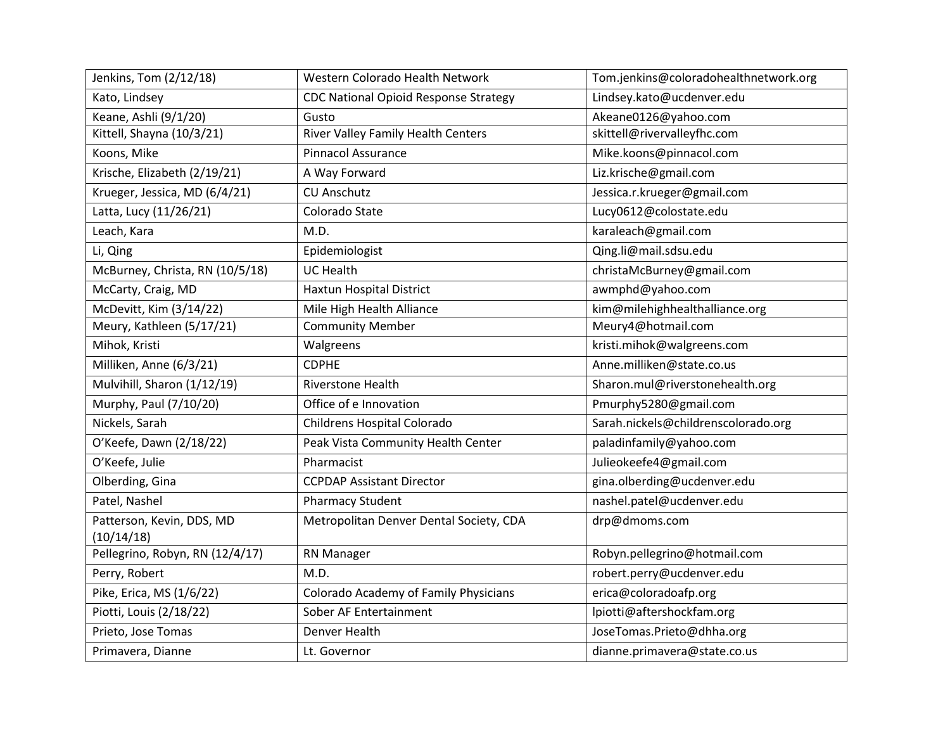| Jenkins, Tom (2/12/18)          | Western Colorado Health Network              | Tom.jenkins@coloradohealthnetwork.org |
|---------------------------------|----------------------------------------------|---------------------------------------|
| Kato, Lindsey                   | <b>CDC National Opioid Response Strategy</b> | Lindsey.kato@ucdenver.edu             |
| Keane, Ashli (9/1/20)           | Gusto                                        | Akeane0126@yahoo.com                  |
| Kittell, Shayna (10/3/21)       | River Valley Family Health Centers           | skittell@rivervalleyfhc.com           |
| Koons, Mike                     | <b>Pinnacol Assurance</b>                    | Mike.koons@pinnacol.com               |
| Krische, Elizabeth (2/19/21)    | A Way Forward                                | Liz.krische@gmail.com                 |
| Krueger, Jessica, MD (6/4/21)   | <b>CU Anschutz</b>                           | Jessica.r.krueger@gmail.com           |
| Latta, Lucy (11/26/21)          | Colorado State                               | Lucy0612@colostate.edu                |
| Leach, Kara                     | M.D.                                         | karaleach@gmail.com                   |
| Li, Qing                        | Epidemiologist                               | Qing.li@mail.sdsu.edu                 |
| McBurney, Christa, RN (10/5/18) | <b>UC Health</b>                             | christaMcBurney@gmail.com             |
| McCarty, Craig, MD              | Haxtun Hospital District                     | awmphd@yahoo.com                      |
| McDevitt, Kim (3/14/22)         | Mile High Health Alliance                    | kim@milehighhealthalliance.org        |
| Meury, Kathleen (5/17/21)       | <b>Community Member</b>                      | Meury4@hotmail.com                    |
| Mihok, Kristi                   | Walgreens                                    | kristi.mihok@walgreens.com            |
| Milliken, Anne (6/3/21)         | <b>CDPHE</b>                                 | Anne.milliken@state.co.us             |
| Mulvihill, Sharon (1/12/19)     | Riverstone Health                            | Sharon.mul@riverstonehealth.org       |
| Murphy, Paul (7/10/20)          | Office of e Innovation                       | Pmurphy5280@gmail.com                 |
| Nickels, Sarah                  | Childrens Hospital Colorado                  | Sarah.nickels@childrenscolorado.org   |
| O'Keefe, Dawn (2/18/22)         | Peak Vista Community Health Center           | paladinfamily@yahoo.com               |
| O'Keefe, Julie                  | Pharmacist                                   | Julieokeefe4@gmail.com                |
| Olberding, Gina                 | <b>CCPDAP Assistant Director</b>             | gina.olberding@ucdenver.edu           |
| Patel, Nashel                   | <b>Pharmacy Student</b>                      | nashel.patel@ucdenver.edu             |
| Patterson, Kevin, DDS, MD       | Metropolitan Denver Dental Society, CDA      | drp@dmoms.com                         |
| (10/14/18)                      |                                              |                                       |
| Pellegrino, Robyn, RN (12/4/17) | RN Manager                                   | Robyn.pellegrino@hotmail.com          |
| Perry, Robert                   | M.D.                                         | robert.perry@ucdenver.edu             |
| Pike, Erica, MS (1/6/22)        | Colorado Academy of Family Physicians        | erica@coloradoafp.org                 |
| Piotti, Louis (2/18/22)         | Sober AF Entertainment                       | lpiotti@aftershockfam.org             |
| Prieto, Jose Tomas              | Denver Health                                | JoseTomas.Prieto@dhha.org             |
| Primavera, Dianne               | Lt. Governor                                 | dianne.primavera@state.co.us          |